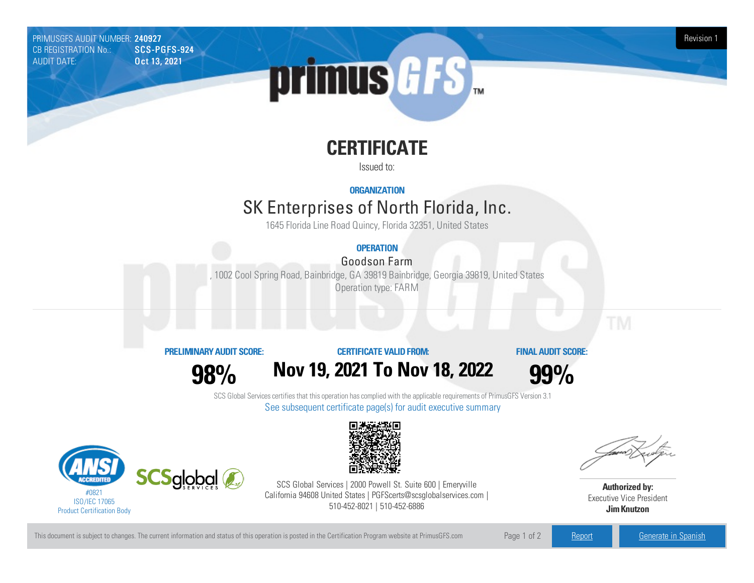PRIMUSGFS AUDIT NUMBER: 240927 Revision 1 New York 1999 PRIMUSGFS AUDIT NUMBER: 240927 Revision 1 CB REGISTRATION No.: AUDIT DATE: **Oct 13, 2021** 



# **CERTIFICATE**

Issued to:

**ORGANIZATION**

## SK Enterprises of North Florida, Inc.

1645 Florida Line Road Quincy, Florida 32351, United States

## **OPERATION**

### Goodson Farm

,1002 Cool Spring Road, Bainbridge, GA 39819 Bainbridge, Georgia39819, United States Operation type: FARM

### **PRELIMINARYAUDIT SCORE:**

**CERTIFICATE VALIDFROM:**

**FINAL AUDIT SCORE:**

**98%**





SCS Global Services certifies that this operation has complied with the applicable requirements of PrimusGFS Version 3.1 See subsequent certificate page(s) for audit executive summary





SCS Global Services | 2000 Powell St. Suite 600 | Emeryville California 94608 United States | PGFScerts@scsglobalservices.com | 510-452-8021 | 510-452-6886

**Authorized by:** Executive Vice President **JimKnutzon**

This document is subject to changes. The current information and status of this operation is posted in the Certification Program website at PrimusGFS.com Page 1 of 2 [Report](https://secure.azzule.com/PGFSDocuments/PGFS_AuditReport240927_2088_1_EN.pdf) Report [Generate](https://secure.azzule.com/PrimusGFSAudits/pdfGenerator.aspx?AuditHeaderID=77356485828573822891767141714816083458574&AppId=71667040605&LanguageID=1&UserId=1) in Spanish